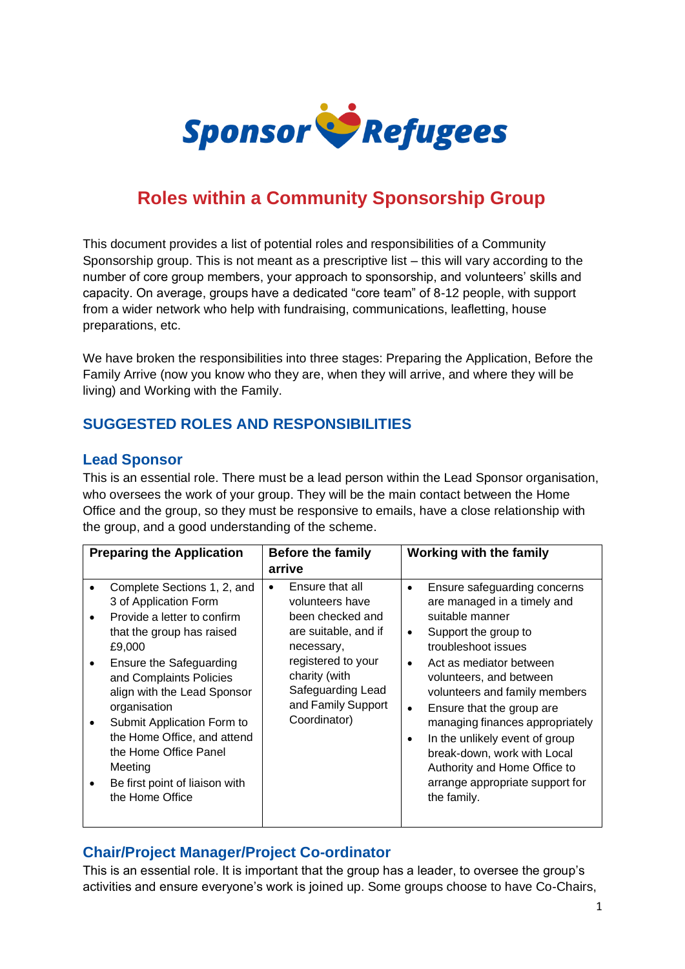

# **Roles within a Community Sponsorship Group**

This document provides a list of potential roles and responsibilities of a Community Sponsorship group. This is not meant as a prescriptive list – this will vary according to the number of core group members, your approach to sponsorship, and volunteers' skills and capacity. On average, groups have a dedicated "core team" of 8-12 people, with support from a wider network who help with fundraising, communications, leafletting, house preparations, etc.

We have broken the responsibilities into three stages: Preparing the Application, Before the Family Arrive (now you know who they are, when they will arrive, and where they will be living) and Working with the Family.

## **SUGGESTED ROLES AND RESPONSIBILITIES**

#### **Lead Sponsor**

This is an essential role. There must be a lead person within the Lead Sponsor organisation, who oversees the work of your group. They will be the main contact between the Home Office and the group, so they must be responsive to emails, have a close relationship with the group, and a good understanding of the scheme.

| <b>Preparing the Application</b>                                                                                                                                                                                                                                                                                                                                                                                          | <b>Before the family</b><br>arrive                                                                                                                                                                          | <b>Working with the family</b>                                                                                                                                                                                                                                                                                                                                                                                                                                                 |
|---------------------------------------------------------------------------------------------------------------------------------------------------------------------------------------------------------------------------------------------------------------------------------------------------------------------------------------------------------------------------------------------------------------------------|-------------------------------------------------------------------------------------------------------------------------------------------------------------------------------------------------------------|--------------------------------------------------------------------------------------------------------------------------------------------------------------------------------------------------------------------------------------------------------------------------------------------------------------------------------------------------------------------------------------------------------------------------------------------------------------------------------|
| Complete Sections 1, 2, and<br>3 of Application Form<br>Provide a letter to confirm<br>$\bullet$<br>that the group has raised<br>£9,000<br>Ensure the Safeguarding<br>$\bullet$<br>and Complaints Policies<br>align with the Lead Sponsor<br>organisation<br>Submit Application Form to<br>٠<br>the Home Office, and attend<br>the Home Office Panel<br>Meeting<br>Be first point of liaison with<br>٠<br>the Home Office | Ensure that all<br>$\bullet$<br>volunteers have<br>been checked and<br>are suitable, and if<br>necessary,<br>registered to your<br>charity (with<br>Safeguarding Lead<br>and Family Support<br>Coordinator) | Ensure safeguarding concerns<br>$\bullet$<br>are managed in a timely and<br>suitable manner<br>Support the group to<br>$\bullet$<br>troubleshoot issues<br>Act as mediator between<br>volunteers, and between<br>volunteers and family members<br>Ensure that the group are<br>$\bullet$<br>managing finances appropriately<br>In the unlikely event of group<br>break-down, work with Local<br>Authority and Home Office to<br>arrange appropriate support for<br>the family. |

## **Chair/Project Manager/Project Co-ordinator**

This is an essential role. It is important that the group has a leader, to oversee the group's activities and ensure everyone's work is joined up. Some groups choose to have Co-Chairs,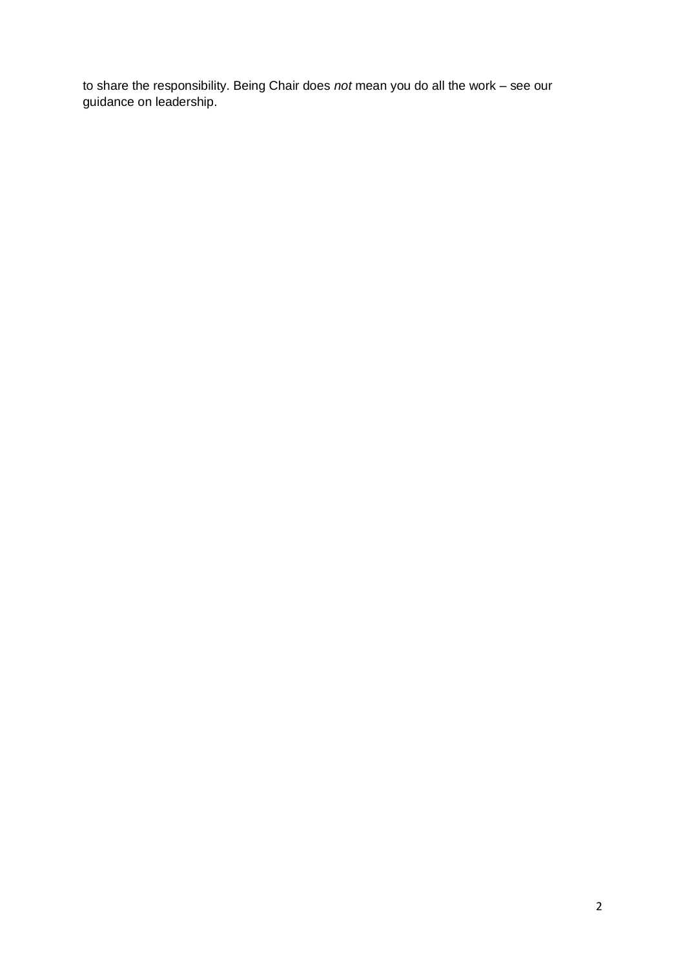to share the responsibility. Being Chair does *not* mean you do all the work – see our guidance on leadership.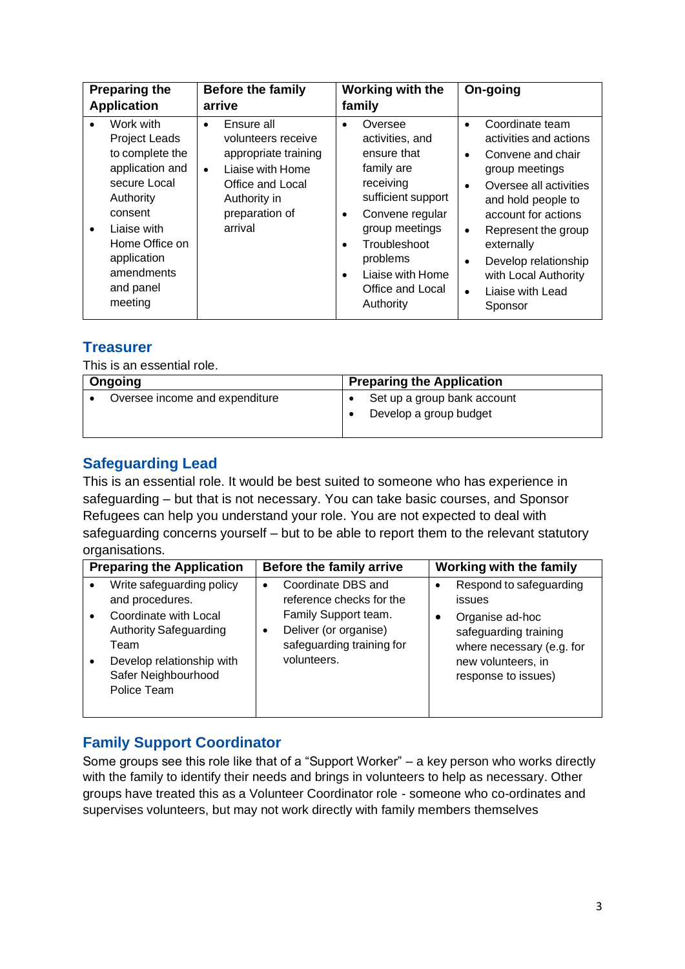| <b>Preparing the</b><br><b>Application</b>                                                                                                                                                            | <b>Before the family</b><br>arrive                                                                                                                                      | <b>Working with the</b><br>family                                                                                                                                                                                                                                    | On-going                                                                                                                                                                                                                                                                                                                        |
|-------------------------------------------------------------------------------------------------------------------------------------------------------------------------------------------------------|-------------------------------------------------------------------------------------------------------------------------------------------------------------------------|----------------------------------------------------------------------------------------------------------------------------------------------------------------------------------------------------------------------------------------------------------------------|---------------------------------------------------------------------------------------------------------------------------------------------------------------------------------------------------------------------------------------------------------------------------------------------------------------------------------|
| Work with<br><b>Project Leads</b><br>to complete the<br>application and<br>secure Local<br>Authority<br>consent<br>Liaise with<br>Home Office on<br>application<br>amendments<br>and panel<br>meeting | Ensure all<br>$\bullet$<br>volunteers receive<br>appropriate training<br>Liaise with Home<br>$\bullet$<br>Office and Local<br>Authority in<br>preparation of<br>arrival | Oversee<br>$\bullet$<br>activities, and<br>ensure that<br>family are<br>receiving<br>sufficient support<br>Convene regular<br>$\bullet$<br>group meetings<br>Troubleshoot<br>$\bullet$<br>problems<br>Liaise with Home<br>$\bullet$<br>Office and Local<br>Authority | Coordinate team<br>$\bullet$<br>activities and actions<br>Convene and chair<br>$\bullet$<br>group meetings<br>Oversee all activities<br>and hold people to<br>account for actions<br>Represent the group<br>$\bullet$<br>externally<br>Develop relationship<br>with Local Authority<br>Liaise with Lead<br>$\bullet$<br>Sponsor |

## **Treasurer**

This is an essential role.

| Ongoing                        | <b>Preparing the Application</b>                      |  |
|--------------------------------|-------------------------------------------------------|--|
| Oversee income and expenditure | Set up a group bank account<br>Develop a group budget |  |

## **Safeguarding Lead**

This is an essential role. It would be best suited to someone who has experience in safeguarding – but that is not necessary. You can take basic courses, and Sponsor Refugees can help you understand your role. You are not expected to deal with safeguarding concerns yourself – but to be able to report them to the relevant statutory organisations.

| <b>Preparing the Application</b>                                                                                                  | Before the family arrive                                                                  | <b>Working with the family</b>                                                                                     |
|-----------------------------------------------------------------------------------------------------------------------------------|-------------------------------------------------------------------------------------------|--------------------------------------------------------------------------------------------------------------------|
| Write safeguarding policy<br>and procedures.                                                                                      | Coordinate DBS and<br>$\bullet$<br>reference checks for the                               | Respond to safeguarding<br>issues                                                                                  |
| Coordinate with Local<br><b>Authority Safeguarding</b><br>Team<br>Develop relationship with<br>Safer Neighbourhood<br>Police Team | Family Support team.<br>Deliver (or organise)<br>safeguarding training for<br>volunteers. | Organise ad-hoc<br>safeguarding training<br>where necessary (e.g. for<br>new volunteers, in<br>response to issues) |

## **Family Support Coordinator**

Some groups see this role like that of a "Support Worker" – a key person who works directly with the family to identify their needs and brings in volunteers to help as necessary. Other groups have treated this as a Volunteer Coordinator role - someone who co-ordinates and supervises volunteers, but may not work directly with family members themselves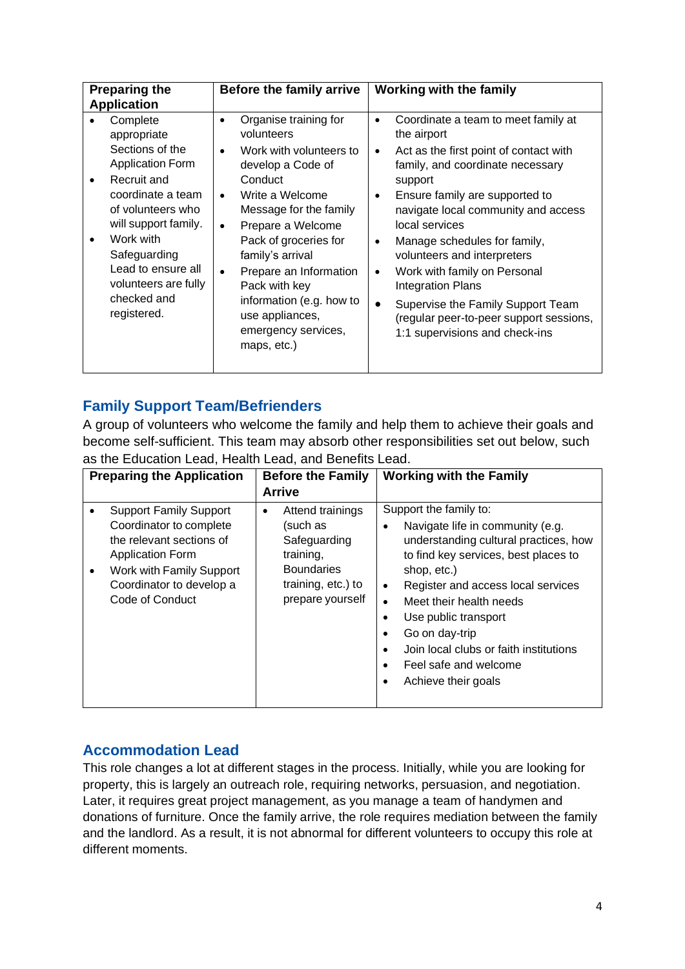| <b>Preparing the</b><br><b>Application</b>                                                                                                                                                                                                                      | Before the family arrive                                                                                                                                                                                                                                                                                                                                                                          | <b>Working with the family</b>                                                                                                                                                                                                                                                                                                                                                                                                                                                                                                                                    |
|-----------------------------------------------------------------------------------------------------------------------------------------------------------------------------------------------------------------------------------------------------------------|---------------------------------------------------------------------------------------------------------------------------------------------------------------------------------------------------------------------------------------------------------------------------------------------------------------------------------------------------------------------------------------------------|-------------------------------------------------------------------------------------------------------------------------------------------------------------------------------------------------------------------------------------------------------------------------------------------------------------------------------------------------------------------------------------------------------------------------------------------------------------------------------------------------------------------------------------------------------------------|
| Complete<br>appropriate<br>Sections of the<br><b>Application Form</b><br>Recruit and<br>coordinate a team<br>of volunteers who<br>will support family.<br>Work with<br>Safeguarding<br>Lead to ensure all<br>volunteers are fully<br>checked and<br>registered. | Organise training for<br>volunteers<br>Work with volunteers to<br>$\bullet$<br>develop a Code of<br>Conduct<br>Write a Welcome<br>$\bullet$<br>Message for the family<br>Prepare a Welcome<br>$\bullet$<br>Pack of groceries for<br>family's arrival<br>Prepare an Information<br>$\bullet$<br>Pack with key<br>information (e.g. how to<br>use appliances,<br>emergency services,<br>maps, etc.) | Coordinate a team to meet family at<br>$\bullet$<br>the airport<br>Act as the first point of contact with<br>$\bullet$<br>family, and coordinate necessary<br>support<br>Ensure family are supported to<br>$\bullet$<br>navigate local community and access<br>local services<br>Manage schedules for family,<br>$\bullet$<br>volunteers and interpreters<br>Work with family on Personal<br>$\bullet$<br><b>Integration Plans</b><br>Supervise the Family Support Team<br>$\bullet$<br>(regular peer-to-peer support sessions,<br>1:1 supervisions and check-ins |

#### **Family Support Team/Befrienders**

A group of volunteers who welcome the family and help them to achieve their goals and become self-sufficient. This team may absorb other responsibilities set out below, such as the Education Lead, Health Lead, and Benefits Lead.

| <b>Preparing the Application</b>                                                                                                                                                         | <b>Before the Family</b><br><b>Arrive</b>                                                                                     | <b>Working with the Family</b>                                                                                                                                                                                                                                                                                                                                                                                                                                  |
|------------------------------------------------------------------------------------------------------------------------------------------------------------------------------------------|-------------------------------------------------------------------------------------------------------------------------------|-----------------------------------------------------------------------------------------------------------------------------------------------------------------------------------------------------------------------------------------------------------------------------------------------------------------------------------------------------------------------------------------------------------------------------------------------------------------|
| <b>Support Family Support</b><br>Coordinator to complete<br>the relevant sections of<br>Application Form<br>Work with Family Support<br>٠<br>Coordinator to develop a<br>Code of Conduct | Attend trainings<br>٠<br>(such as<br>Safeguarding<br>training,<br><b>Boundaries</b><br>training, etc.) to<br>prepare yourself | Support the family to:<br>Navigate life in community (e.g.<br>$\bullet$<br>understanding cultural practices, how<br>to find key services, best places to<br>shop, etc.)<br>Register and access local services<br>$\bullet$<br>Meet their health needs<br>$\bullet$<br>Use public transport<br>$\bullet$<br>Go on day-trip<br>$\bullet$<br>Join local clubs or faith institutions<br>$\bullet$<br>Feel safe and welcome<br>$\bullet$<br>Achieve their goals<br>٠ |

#### **Accommodation Lead**

This role changes a lot at different stages in the process. Initially, while you are looking for property, this is largely an outreach role, requiring networks, persuasion, and negotiation. Later, it requires great project management, as you manage a team of handymen and donations of furniture. Once the family arrive, the role requires mediation between the family and the landlord. As a result, it is not abnormal for different volunteers to occupy this role at different moments.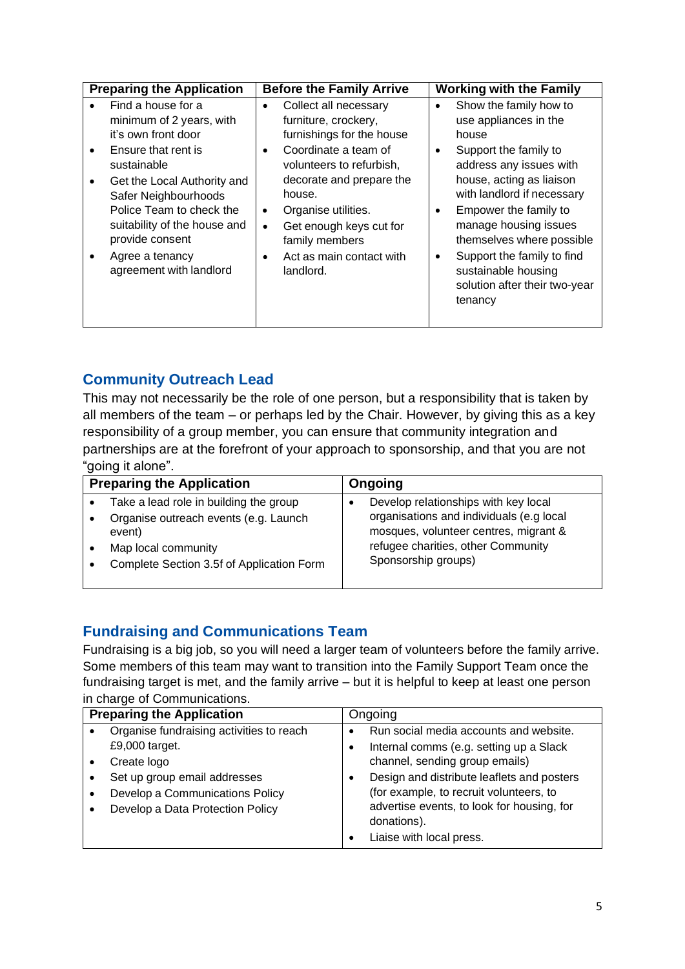|           | <b>Preparing the Application</b>                                                                                                                  |                             | <b>Before the Family Arrive</b>                                                                                                                            |                        | <b>Working with the Family</b>                                                                                                                                                                             |  |
|-----------|---------------------------------------------------------------------------------------------------------------------------------------------------|-----------------------------|------------------------------------------------------------------------------------------------------------------------------------------------------------|------------------------|------------------------------------------------------------------------------------------------------------------------------------------------------------------------------------------------------------|--|
| $\bullet$ | Find a house for a<br>minimum of 2 years, with<br>it's own front door<br>Ensure that rent is<br>sustainable<br>Get the Local Authority and        | $\bullet$<br>$\bullet$      | Collect all necessary<br>furniture, crockery,<br>furnishings for the house<br>Coordinate a team of<br>volunteers to refurbish,<br>decorate and prepare the | $\bullet$<br>$\bullet$ | Show the family how to<br>use appliances in the<br>house<br>Support the family to<br>address any issues with<br>house, acting as liaison                                                                   |  |
|           | Safer Neighbourhoods<br>Police Team to check the<br>suitability of the house and<br>provide consent<br>Agree a tenancy<br>agreement with landlord | $\bullet$<br>$\bullet$<br>٠ | house.<br>Organise utilities.<br>Get enough keys cut for<br>family members<br>Act as main contact with<br>landlord.                                        | $\bullet$<br>$\bullet$ | with landlord if necessary<br>Empower the family to<br>manage housing issues<br>themselves where possible<br>Support the family to find<br>sustainable housing<br>solution after their two-year<br>tenancy |  |

# **Community Outreach Lead**

This may not necessarily be the role of one person, but a responsibility that is taken by all members of the team – or perhaps led by the Chair. However, by giving this as a key responsibility of a group member, you can ensure that community integration and partnerships are at the forefront of your approach to sponsorship, and that you are not "going it alone".

| <b>Preparing the Application</b>          | Ongoing                                  |
|-------------------------------------------|------------------------------------------|
| Take a lead role in building the group    | Develop relationships with key local     |
| Organise outreach events (e.g. Launch     | organisations and individuals (e.g local |
| event)                                    | mosques, volunteer centres, migrant &    |
| Map local community                       | refugee charities, other Community       |
| Complete Section 3.5f of Application Form | Sponsorship groups)                      |

## **Fundraising and Communications Team**

Fundraising is a big job, so you will need a larger team of volunteers before the family arrive. Some members of this team may want to transition into the Family Support Team once the fundraising target is met, and the family arrive – but it is helpful to keep at least one person in charge of Communications.

| <b>Preparing the Application</b>         |  | Ongoing                                                                               |  |
|------------------------------------------|--|---------------------------------------------------------------------------------------|--|
| Organise fundraising activities to reach |  | Run social media accounts and website.                                                |  |
| £9,000 target.                           |  | Internal comms (e.g. setting up a Slack                                               |  |
| Create logo                              |  | channel, sending group emails)                                                        |  |
| Set up group email addresses             |  | Design and distribute leaflets and posters                                            |  |
| Develop a Communications Policy          |  | (for example, to recruit volunteers, to                                               |  |
| Develop a Data Protection Policy         |  | advertise events, to look for housing, for<br>donations).<br>Liaise with local press. |  |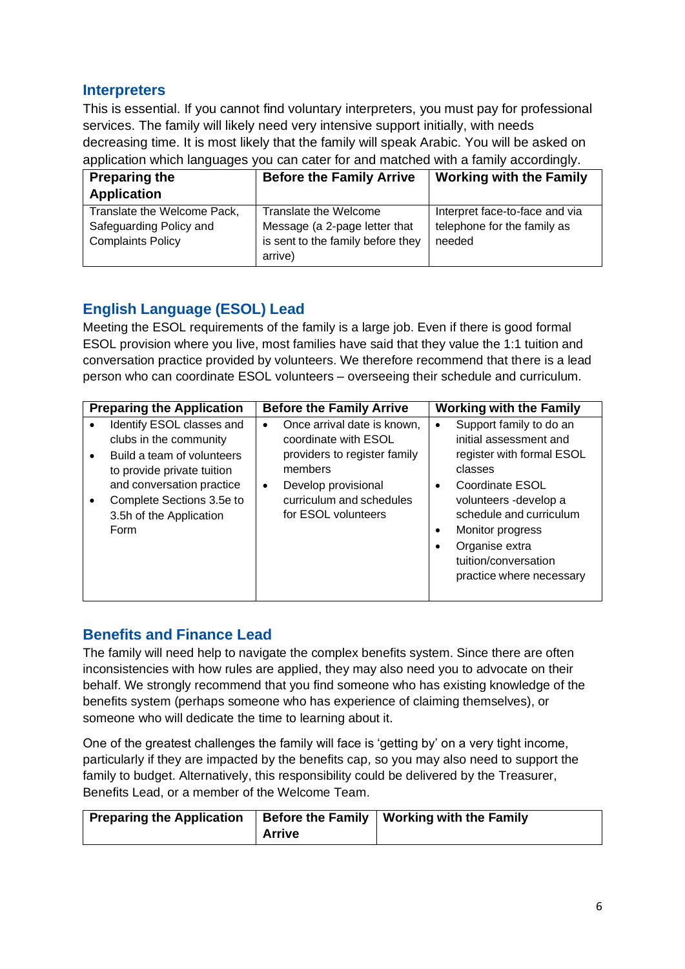#### **Interpreters**

This is essential. If you cannot find voluntary interpreters, you must pay for professional services. The family will likely need very intensive support initially, with needs decreasing time. It is most likely that the family will speak Arabic. You will be asked on application which languages you can cater for and matched with a family accordingly.

| <b>Preparing the</b>        | <b>Before the Family Arrive</b>   | <b>Working with the Family</b> |  |  |
|-----------------------------|-----------------------------------|--------------------------------|--|--|
| <b>Application</b>          |                                   |                                |  |  |
| Translate the Welcome Pack, | Translate the Welcome             | Interpret face-to-face and via |  |  |
| Safeguarding Policy and     | Message (a 2-page letter that     | telephone for the family as    |  |  |
| <b>Complaints Policy</b>    | is sent to the family before they | needed                         |  |  |
|                             | arrive)                           |                                |  |  |

# **English Language (ESOL) Lead**

Meeting the ESOL requirements of the family is a large job. Even if there is good formal ESOL provision where you live, most families have said that they value the 1:1 tuition and conversation practice provided by volunteers. We therefore recommend that there is a lead person who can coordinate ESOL volunteers – overseeing their schedule and curriculum.

| <b>Preparing the Application</b>                                                                                                                                                                             |                                   | <b>Before the Family Arrive</b>                                                                                                                               | <b>Working with the Family</b>                                                                                                                                                                                                                                          |
|--------------------------------------------------------------------------------------------------------------------------------------------------------------------------------------------------------------|-----------------------------------|---------------------------------------------------------------------------------------------------------------------------------------------------------------|-------------------------------------------------------------------------------------------------------------------------------------------------------------------------------------------------------------------------------------------------------------------------|
| Identify ESOL classes and<br>clubs in the community<br>Build a team of volunteers<br>to provide private tuition<br>and conversation practice<br>Complete Sections 3.5e to<br>3.5h of the Application<br>Form | $\bullet$<br>members<br>$\bullet$ | Once arrival date is known,<br>coordinate with ESOL<br>providers to register family<br>Develop provisional<br>curriculum and schedules<br>for ESOL volunteers | Support family to do an<br>initial assessment and<br>register with formal ESOL<br>classes<br>Coordinate ESOL<br>$\bullet$<br>volunteers -develop a<br>schedule and curriculum<br>Monitor progress<br>Organise extra<br>tuition/conversation<br>practice where necessary |

# **Benefits and Finance Lead**

The family will need help to navigate the complex benefits system. Since there are often inconsistencies with how rules are applied, they may also need you to advocate on their behalf. We strongly recommend that you find someone who has existing knowledge of the benefits system (perhaps someone who has experience of claiming themselves), or someone who will dedicate the time to learning about it.

One of the greatest challenges the family will face is 'getting by' on a very tight income, particularly if they are impacted by the benefits cap*,* so you may also need to support the family to budget. Alternatively, this responsibility could be delivered by the Treasurer, Benefits Lead, or a member of the Welcome Team.

| <b>Preparing the Application</b> |        | Before the Family   Working with the Family |
|----------------------------------|--------|---------------------------------------------|
|                                  | Arrive |                                             |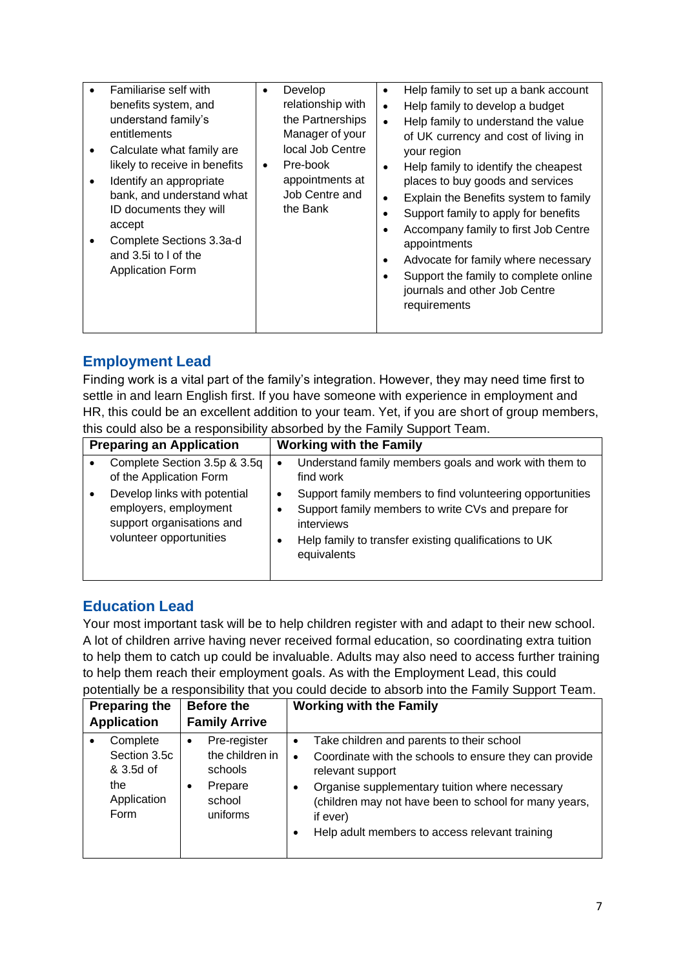| Familiarise self with<br>benefits system, and<br>understand family's<br>entitlements<br>Calculate what family are<br>likely to receive in benefits<br>Identify an appropriate<br>٠<br>bank, and understand what<br>ID documents they will<br>accept<br>Complete Sections 3.3a-d<br>and 3.5 ito I of the<br><b>Application Form</b> | Develop<br>$\bullet$<br>relationship with<br>the Partnerships<br>Manager of your<br>local Job Centre<br>Pre-book<br>$\bullet$<br>appointments at<br>Job Centre and<br>the Bank | Help family to set up a bank account<br>$\bullet$<br>Help family to develop a budget<br>$\bullet$<br>Help family to understand the value<br>$\bullet$<br>of UK currency and cost of living in<br>your region<br>Help family to identify the cheapest<br>$\bullet$<br>places to buy goods and services<br>Explain the Benefits system to family<br>$\bullet$<br>Support family to apply for benefits<br>Accompany family to first Job Centre<br>$\bullet$<br>appointments<br>Advocate for family where necessary<br>$\bullet$<br>Support the family to complete online<br>journals and other Job Centre<br>requirements |
|------------------------------------------------------------------------------------------------------------------------------------------------------------------------------------------------------------------------------------------------------------------------------------------------------------------------------------|--------------------------------------------------------------------------------------------------------------------------------------------------------------------------------|------------------------------------------------------------------------------------------------------------------------------------------------------------------------------------------------------------------------------------------------------------------------------------------------------------------------------------------------------------------------------------------------------------------------------------------------------------------------------------------------------------------------------------------------------------------------------------------------------------------------|
|------------------------------------------------------------------------------------------------------------------------------------------------------------------------------------------------------------------------------------------------------------------------------------------------------------------------------------|--------------------------------------------------------------------------------------------------------------------------------------------------------------------------------|------------------------------------------------------------------------------------------------------------------------------------------------------------------------------------------------------------------------------------------------------------------------------------------------------------------------------------------------------------------------------------------------------------------------------------------------------------------------------------------------------------------------------------------------------------------------------------------------------------------------|

# **Employment Lead**

Finding work is a vital part of the family's integration. However, they may need time first to settle in and learn English first. If you have someone with experience in employment and HR, this could be an excellent addition to your team. Yet, if you are short of group members, this could also be a responsibility absorbed by the Family Support Team.

| <b>Preparing an Application</b>                                                                               | <b>Working with the Family</b>                                                                                                                                                                                   |
|---------------------------------------------------------------------------------------------------------------|------------------------------------------------------------------------------------------------------------------------------------------------------------------------------------------------------------------|
| Complete Section 3.5p & 3.5q<br>of the Application Form                                                       | Understand family members goals and work with them to<br>$\bullet$<br>find work                                                                                                                                  |
| Develop links with potential<br>employers, employment<br>support organisations and<br>volunteer opportunities | Support family members to find volunteering opportunities<br>٠<br>Support family members to write CVs and prepare for<br>٠<br>interviews<br>Help family to transfer existing qualifications to UK<br>equivalents |

# **Education Lead**

Your most important task will be to help children register with and adapt to their new school. A lot of children arrive having never received formal education, so coordinating extra tuition to help them to catch up could be invaluable. Adults may also need to access further training to help them reach their employment goals. As with the Employment Lead, this could potentially be a responsibility that you could decide to absorb into the Family Support Team.

| <b>Preparing the</b>                                                |                | <b>Before the</b>                                                           | <b>Working with the Family</b> |                                                                                                                                                                                                                                                                                                  |  |  |
|---------------------------------------------------------------------|----------------|-----------------------------------------------------------------------------|--------------------------------|--------------------------------------------------------------------------------------------------------------------------------------------------------------------------------------------------------------------------------------------------------------------------------------------------|--|--|
| <b>Application</b>                                                  |                | <b>Family Arrive</b>                                                        |                                |                                                                                                                                                                                                                                                                                                  |  |  |
| Complete<br>Section 3.5c<br>& 3.5d of<br>the<br>Application<br>Form | $\bullet$<br>٠ | Pre-register<br>the children in<br>schools<br>Prepare<br>school<br>uniforms | $\bullet$                      | Take children and parents to their school<br>Coordinate with the schools to ensure they can provide<br>relevant support<br>Organise supplementary tuition where necessary<br>(children may not have been to school for many years,<br>if ever)<br>Help adult members to access relevant training |  |  |